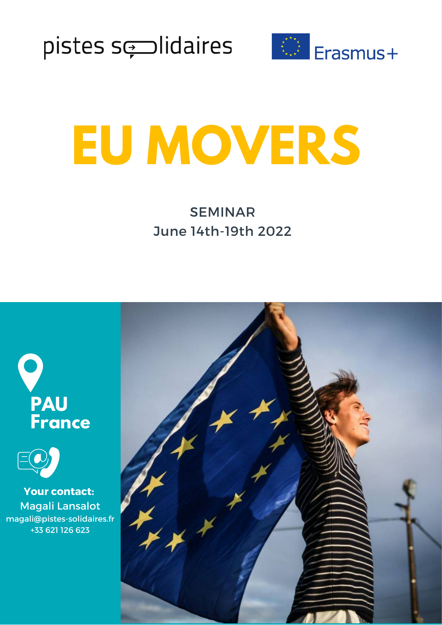



# **EU MOVERS**

SEMINAR June 14th-19th 2022





**Your contact:** Magali Lansalot magali@pistes-solidaires.fr +33 621 126 623

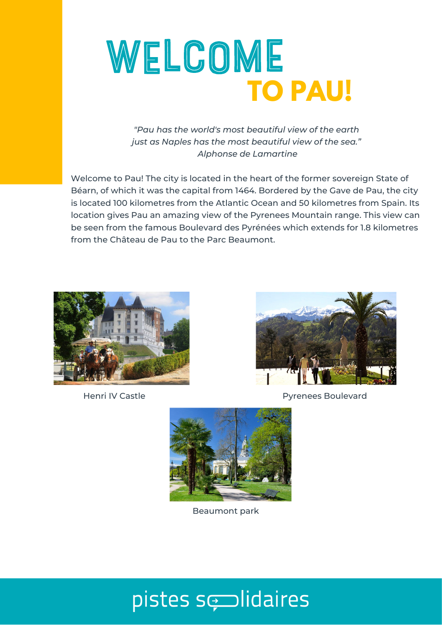

*"Pau has the world's most beautiful view of the earth just as Naples has the most beautiful view of the sea." Alphonse de Lamartine*

Welcome to Pau! The city is located in the heart of the former sovereign State of Béarn, of which it was the capital from 1464. Bordered by the Gave de Pau, the city is located 100 kilometres from the Atlantic Ocean and 50 kilometres from Spain. Its location gives Pau an amazing view of the Pyrenees Mountain range. This view can be seen from the famous Boulevard des Pyrénées which extends for 1.8 kilometres from the Château de Pau to the Parc Beaumont.





Henri IV Castle Pyrenees Boulevard



Beaumont park

### pistes sesidaires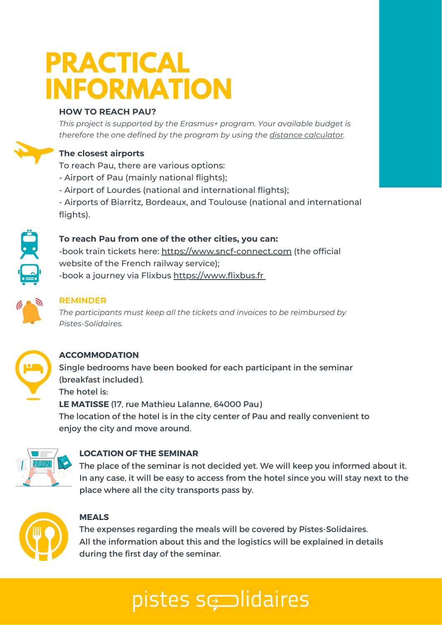# **PRACTICAL INFORMATION**

#### **HOW TO REACH PAU?**

*This project is supported by the Erasmus+ program. Your available budget is therefore the one defined by the program by using the distance [calculator](https://ec.europa.eu/programmes/erasmus-plus/resources/distance-calculator_en).*

#### **The closest airports**

To reach Pau, there are various options:

- Airport of Pau (mainly national flights);
- Airport of Lourdes (national and international flights);

- Airports of Biarritz, Bordeaux, and Toulouse (national and international flights).



#### **To reach Pau from one of the other cities, you can:**

-book train tickets here: [https://www.sncf-connect.com](https://www.sncf-connect.com/) (the official website of the French railway service); -book a journey via Flixbus [https://www.flixbus.fr](https://www.flixbus.fr/)



#### **REMINDER**

*The participants must keep all the tickets and invoices to be reimbursed by Pistes-Solidaires.*



#### **ACCOMMODATION**

Single bedrooms have been booked for each participant in the seminar (breakfast included). The hotel is: **LE MATISSE** (17, rue Mathieu Lalanne, 64000 Pau) The location of the hotel is in the city center of Pau and really convenient to enjoy the city and move around.



#### **LOCATION OF THE SEMINAR**

The place of the seminar is not decided yet. We will keep you informed about it. In any case, it will be easy to access from the hotel since you will stay next to the place where all the city transports pass by.



#### **MEALS**

The expenses regarding the meals will be covered by Pistes-Solidaires. All the information about this and the logistics will be explained in details during the first day of the seminar.

## pistes sedidaires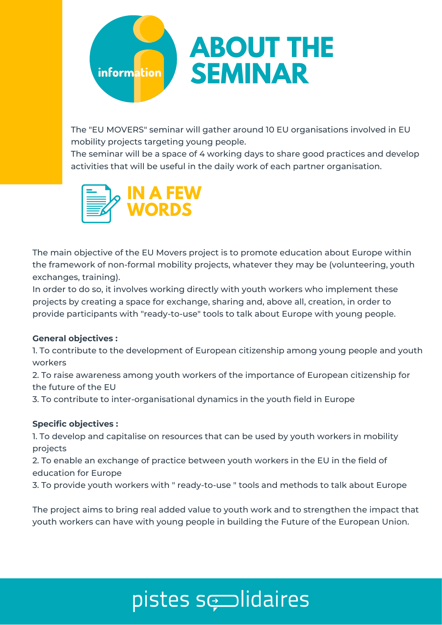

The "EU MOVERS" seminar will gather around 10 EU organisations involved in EU mobility projects targeting young people.

The seminar will be a space of 4 working days to share good practices and develop activities that will be useful in the daily work of each partner organisation.



The main objective of the EU Movers project is to promote education about Europe within the framework of non-formal mobility projects, whatever they may be (volunteering, youth exchanges, training).

In order to do so, it involves working directly with youth workers who implement these projects by creating a space for exchange, sharing and, above all, creation, in order to provide participants with "ready-to-use" tools to talk about Europe with young people.

#### **General objectives :**

1. To contribute to the development of European citizenship among young people and youth workers

2. To raise awareness among youth workers of the importance of European citizenship for the future of the EU

3. To contribute to inter-organisational dynamics in the youth field in Europe

#### **Specific objectives :**

1. To develop and capitalise on resources that can be used by youth workers in mobility projects

2. To enable an exchange of practice between youth workers in the EU in the field of education for Europe

3. To provide youth workers with " ready-to-use " tools and methods to talk about Europe

The project aims to bring real added value to youth work and to strengthen the impact that youth workers can have with young people in building the Future of the European Union.

### pistes se idaires